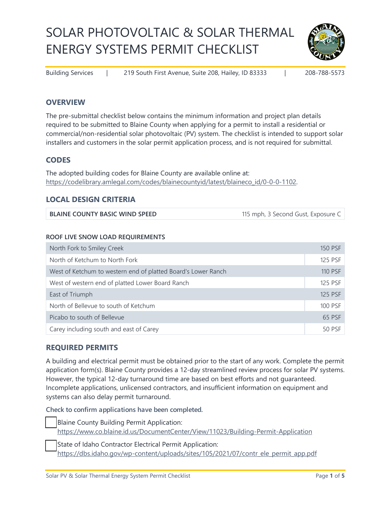# SOLAR PHOTOVOLTAIC & SOLAR THERMAL ENERGY SYSTEMS PERMIT CHECKLIST



Building Services | 219 South First Avenue, Suite 208, Hailey, ID 83333 | 208-788-5573

## **OVERVIEW**

The pre-submittal checklist below contains the minimum information and project plan details required to be submitted to Blaine County when applying for a permit to install a residential or commercial/non-residential solar photovoltaic (PV) system. The checklist is intended to support solar installers and customers in the solar permit application process, and is not required for submittal.

## **CODES**

The adopted building codes for Blaine County are available online at: [https://codelibrary.amlegal.com/codes/blainecountyid/latest/blaineco\\_id/0-0-0-1102.](https://codelibrary.amlegal.com/codes/blainecountyid/latest/blaineco_id/0-0-0-1102)

#### **LOCAL DESIGN CRITERIA**

**BLAINE COUNTY BASIC WIND SPEED** 115 mph, 3 Second Gust, Exposure C

#### **ROOF LIVE SNOW LOAD REQUIREMENTS**

| North Fork to Smiley Creek                                    | <b>150 PSF</b> |  |
|---------------------------------------------------------------|----------------|--|
| North of Ketchum to North Fork                                |                |  |
| West of Ketchum to western end of platted Board's Lower Ranch | 110 PSF        |  |
| West of western end of platted Lower Board Ranch              |                |  |
| East of Triumph                                               | 125 PSF        |  |
| North of Bellevue to south of Ketchum                         | 100 PSF        |  |
| Picabo to south of Bellevue                                   | 65 PSF         |  |
| Carey including south and east of Carey                       | 50 PSF         |  |

#### **REQUIRED PERMITS**

A building and electrical permit must be obtained prior to the start of any work. Complete the permit application form(s). Blaine County provides a 12-day streamlined review process for solar PV systems. However, the typical 12-day turnaround time are based on best efforts and not guaranteed. Incomplete applications, unlicensed contractors, and insufficient information on equipment and systems can also delay permit turnaround.

**Check to confirm applications have been completed.** 

Blaine County Building Permit Application: <https://www.co.blaine.id.us/DocumentCenter/View/11023/Building-Permit-Application>

State of Idaho Contractor Electrical Permit Application: [https://dbs.idaho.gov/wp-content/uploads/sites/105/2021/07/contr\\_ele\\_permit\\_app.pdf](https://dbs.idaho.gov/wp-content/uploads/sites/105/2021/07/contr_ele_permit_app.pdf)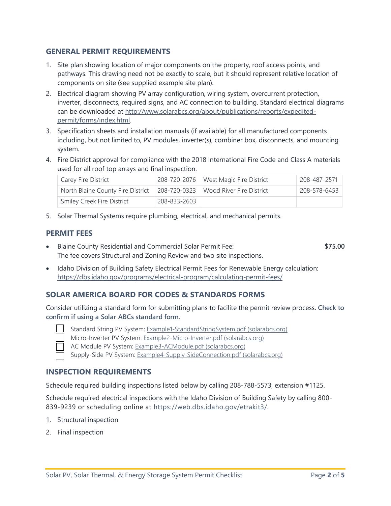#### **GENERAL PERMIT REQUIREMENTS**

- 1. Site plan showing location of major components on the property, roof access points, and pathways. This drawing need not be exactly to scale, but it should represent relative location of components on site (see supplied example site plan).
- 2. Electrical diagram showing PV array configuration, wiring system, overcurrent protection, inverter, disconnects, required signs, and AC connection to building. Standard electrical diagrams can be downloaded at [http://www.solarabcs.org/about/publications/reports/expedited](http://www.solarabcs.org/about/publications/reports/expedited-permit/forms/index.html)[permit/forms/index.html.](http://www.solarabcs.org/about/publications/reports/expedited-permit/forms/index.html)
- 3. Specification sheets and installation manuals (if available) for all manufactured components including, but not limited to, PV modules, inverter(s), combiner box, disconnects, and mounting system.
- 4. Fire District approval for compliance with the 2018 International Fire Code and Class A materials used for all roof top arrays and final inspection.

| Carey Fire District               |              | 208-720-2076   West Magic Fire District | 208-487-2571 |
|-----------------------------------|--------------|-----------------------------------------|--------------|
| North Blaine County Fire District |              | 208-720-0323   Wood River Fire District | 208-578-6453 |
| <b>Smiley Creek Fire District</b> | 208-833-2603 |                                         |              |

5. Solar Thermal Systems require plumbing, electrical, and mechanical permits.

#### **PERMIT FEES**

- Blaine County Residential and Commercial Solar Permit Fee: **\$75.00** The fee covers Structural and Zoning Review and two site inspections.
- Idaho Division of Building Safety Electrical Permit Fees for Renewable Energy calculation: <https://dbs.idaho.gov/programs/electrical-program/calculating-permit-fees/>

#### **SOLAR AMERICA BOARD FOR CODES & STANDARDS FORMS**

Consider utilizing a standard form for submitting plans to facilite the permit review process. **Check to confirm if using a Solar ABCs standard form.**



- Standard String PV System: [Example1-StandardStringSystem.pdf \(solarabcs.org\)](http://www.solarabcs.org/about/publications/reports/expedited-permit/pdfs/Example1-StandardStringSystem.pdf)
- Micro-Inverter PV System: [Example2-Micro-Inverter.pdf \(solarabcs.org\)](http://www.solarabcs.org/about/publications/reports/expedited-permit/pdfs/Example2-Micro-Inverter.pdf)

AC Module PV System[: Example3-ACModule.pdf \(solarabcs.org\)](http://www.solarabcs.org/about/publications/reports/expedited-permit/pdfs/Example3-ACModule.pdf)

Supply-Side PV System[: Example4-Supply-SideConnection.pdf \(solarabcs.org\)](http://www.solarabcs.org/about/publications/reports/expedited-permit/pdfs/Example4-Supply-SideConnection.pdf)

#### **INSPECTION REQUIREMENTS**

Schedule required building inspections listed below by calling 208-788-5573, extension #1125.

Schedule required electrical inspections with the Idaho Division of Building Safety by calling 800- 839-9239 or scheduling online at [https://web.dbs.idaho.gov/etrakit3/.](https://web.dbs.idaho.gov/etrakit3/)

- 1. Structural inspection
- 2. Final inspection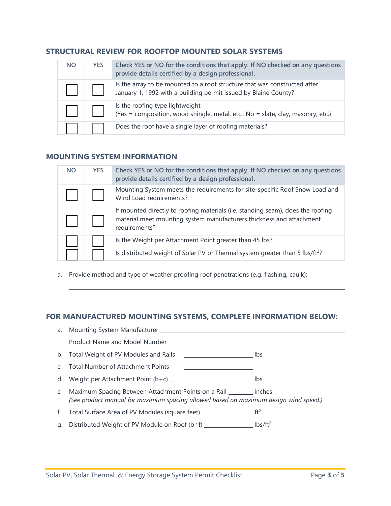#### **STRUCTURAL REVIEW FOR ROOFTOP MOUNTED SOLAR SYSTEMS**

| <b>NO</b> | <b>YES</b> | Check YES or NO for the conditions that apply. If NO checked on any questions<br>provide details certified by a design professional.         |
|-----------|------------|----------------------------------------------------------------------------------------------------------------------------------------------|
|           |            | Is the array to be mounted to a roof structure that was constructed after<br>January 1, 1992 with a building permit issued by Blaine County? |
|           |            | Is the roofing type lightweight<br>(Yes = composition, wood shingle, metal, etc.; No = slate, clay, masonry, etc.)                           |
|           |            | Does the roof have a single layer of roofing materials?                                                                                      |

## **MOUNTING SYSTEM INFORMATION**

 $\overline{a}$ 

| <b>NO</b> | <b>YES</b> | Check YES or NO for the conditions that apply. If NO checked on any questions<br>provide details certified by a design professional.                                     |
|-----------|------------|--------------------------------------------------------------------------------------------------------------------------------------------------------------------------|
|           |            | Mounting System meets the requirements for site-specific Roof Snow Load and<br>Wind Load requirements?                                                                   |
|           |            | If mounted directly to roofing materials (i.e. standing seam), does the roofing<br>material meet mounting system manufacturers thickness and attachment<br>requirements? |
|           |            | Is the Weight per Attachment Point greater than 45 lbs?                                                                                                                  |
|           |            | Is distributed weight of Solar PV or Thermal system greater than 5 lbs/ft <sup>2</sup> ?                                                                                 |

a. Provide method and type of weather proofing roof penetrations (e.g. flashing, caulk):

### **FOR MANUFACTURED MOUNTING SYSTEMS, COMPLETE INFORMATION BELOW:**

| Product Name and Model Number                                                                                                                                  |     |
|----------------------------------------------------------------------------------------------------------------------------------------------------------------|-----|
| b. Total Weight of PV Modules and Rails<br><u>___________________________</u> _ lbs                                                                            |     |
| c. Total Number of Attachment Points                                                                                                                           |     |
|                                                                                                                                                                | lbs |
| e. Maximum Spacing Between Attachment Points on a Rail ________ inches<br>(See product manual for maximum spacing allowed based on maximum design wind speed.) |     |
| f. Total Surface Area of PV Modules (square feet) $\frac{1}{2}$ ft <sup>2</sup>                                                                                |     |
|                                                                                                                                                                |     |
|                                                                                                                                                                |     |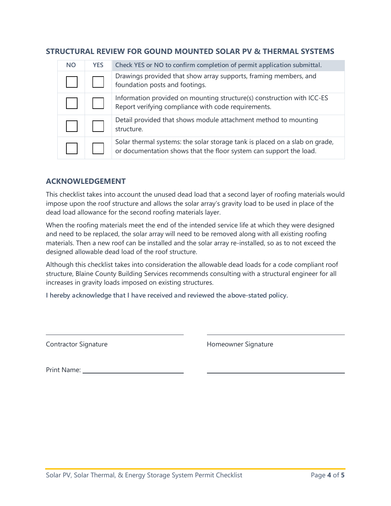| STRUCTURAL REVIEW FOR GOUND MOUNTED SOLAR PV & THERMAL SYSTEMS |
|----------------------------------------------------------------|
|----------------------------------------------------------------|

| <b>NO</b> | <b>YES</b> | Check YES or NO to confirm completion of permit application submittal.                                                                            |
|-----------|------------|---------------------------------------------------------------------------------------------------------------------------------------------------|
|           |            | Drawings provided that show array supports, framing members, and<br>foundation posts and footings.                                                |
|           |            | Information provided on mounting structure(s) construction with ICC-ES<br>Report verifying compliance with code requirements.                     |
|           |            | Detail provided that shows module attachment method to mounting<br>structure.                                                                     |
|           |            | Solar thermal systems: the solar storage tank is placed on a slab on grade,<br>or documentation shows that the floor system can support the load. |

#### **ACKNOWLEDGEMENT**

This checklist takes into account the unused dead load that a second layer of roofing materials would impose upon the roof structure and allows the solar array's gravity load to be used in place of the dead load allowance for the second roofing materials layer.

When the roofing materials meet the end of the intended service life at which they were designed and need to be replaced, the solar array will need to be removed along with all existing roofing materials. Then a new roof can be installed and the solar array re-installed, so as to not exceed the designed allowable dead load of the roof structure.

Although this checklist takes into consideration the allowable dead loads for a code compliant roof structure, Blaine County Building Services recommends consulting with a structural engineer for all increases in gravity loads imposed on existing structures.

**I hereby acknowledge that I have received and reviewed the above-stated policy.** 

 $\overline{a}$ 

Contractor Signature **Contractor Signature Homeowner Signature** 

Print Name: